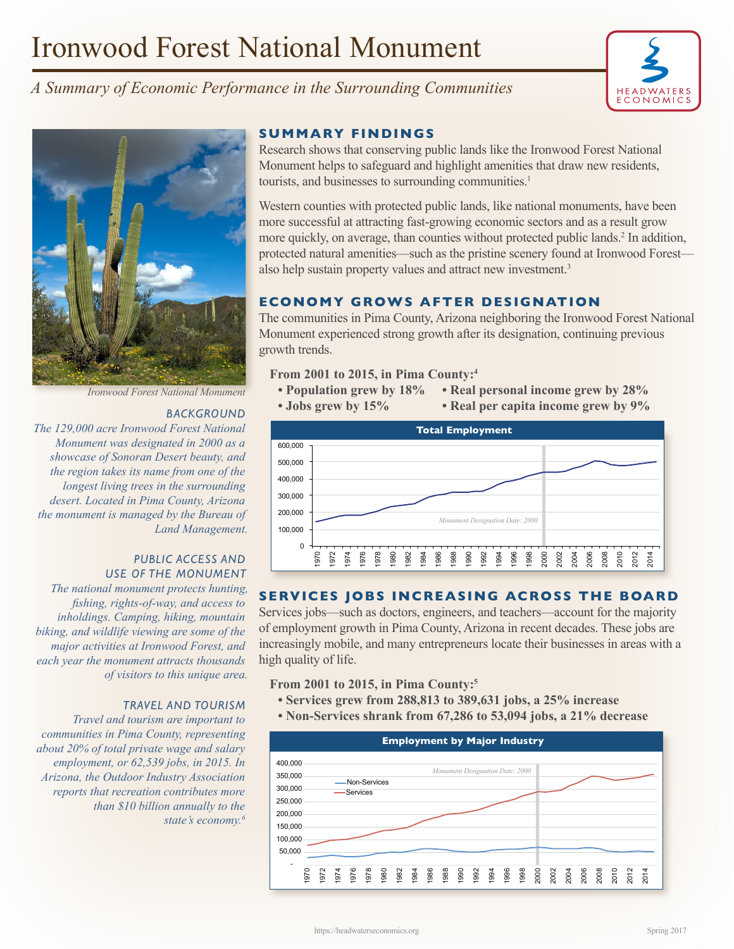# Ironwood Forest National Monument







*Ironwood Forest National Monument*

## *BACKGROUND*

*The 129,000 acre Ironwood Forest National Monument was designated in 2000 as a showcase of Sonoran Desert beauty, and the region takes its name from one of the longest living trees in the surrounding desert. Located in Pima County, Arizona the monument is managed by the Bureau of Land Management.* 

## *PUBLIC ACCESS AND USE OF THE MONUMENT*

*The national monument protects hunting, fishing, rights-of-way, and access to inholdings. Camping, hiking, mountain biking, and wildlife viewing are some of the major activities at Ironwood Forest, and each year the monument attracts thousands of visitors to this unique area.*

## *TRAVEL AND TOURISM*

*Travel and tourism are important to communities in Pima County, representing about 20% of total private wage and salary employment, or 62,539 jobs, in 2015. In Arizona, the Outdoor Industry Association reports that recreation contributes more than \$10 billion annually to the state's economy.6*

## **SUMMARY FINDINGS**

Research shows that conserving public lands like the Ironwood Forest National Monument helps to safeguard and highlight amenities that draw new residents, tourists, and businesses to surrounding communities.<sup>1</sup>

Western counties with protected public lands, like national monuments, have been more successful at attracting fast-growing economic sectors and as a result grow more quickly, on average, than counties without protected public lands.<sup>2</sup> In addition, protected natural amenities—such as the pristine scenery found at Ironwood Forest also help sustain property values and attract new investment.<sup>3</sup>

# **ECONOMY GROWS AFTER DESIGNATION**

The communities in Pima County, Arizona neighboring the Ironwood Forest National Monument experienced strong growth after its designation, continuing previous growth trends.

## **From 2001 to 2015, in Pima County:4**

- **Population grew by 18% Real personal income grew by 28%**
- **Jobs grew by 15% Real per capita income grew by 9%**



# **SERVICES JOBS INCREASING ACROSS THE BOARD**

Services jobs—such as doctors, engineers, and teachers—account for the majority of employment growth in Pima County, Arizona in recent decades. These jobs are increasingly mobile, and many entrepreneurs locate their businesses in areas with a high quality of life.

**From 2001 to 2015, in Pima County:5**

- **Services grew from 288,813 to 389,631 jobs, a 25% increase**
- **Non-Services shrank from 67,286 to 53,094 jobs, a 21% decrease**